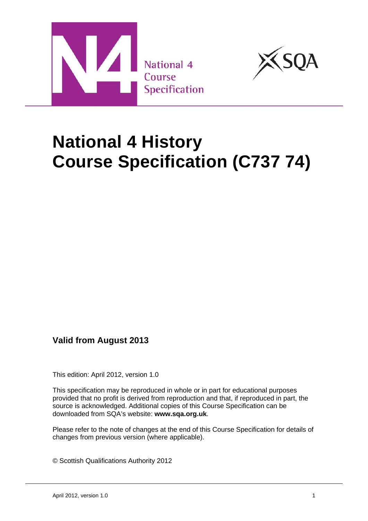



# **National 4 History Course Specification (C737 74)**

## **Valid from August 2013**

This edition: April 2012, version 1.0

This specification may be reproduced in whole or in part for educational purposes provided that no profit is derived from reproduction and that, if reproduced in part, the source is acknowledged. Additional copies of this Course Specification can be downloaded from SQA's website: **www.sqa.org.uk**.

Please refer to the note of changes at the end of this Course Specification for details of changes from previous version (where applicable).

© Scottish Qualifications Authority 2012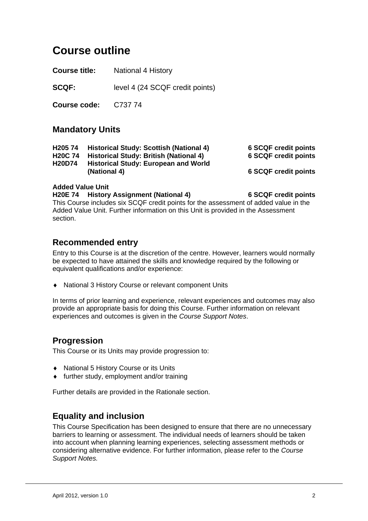## **Course outline**

**Course title:** National 4 History

**SCQF:** level 4 (24 SCQF credit points)

**Course code:** C737 74

### **Mandatory Units**

| <b>6 SCQF credit points</b> |
|-----------------------------|
| <b>6 SCQF credit points</b> |
|                             |
| <b>6 SCQF credit points</b> |
|                             |

#### **Added Value Unit**

**H20E 74 History Assignment (National 4) 6 SCQF credit points** 

This Course includes six SCQF credit points for the assessment of added value in the Added Value Unit. Further information on this Unit is provided in the Assessment section.

### **Recommended entry**

Entry to this Course is at the discretion of the centre. However, learners would normally be expected to have attained the skills and knowledge required by the following or equivalent qualifications and/or experience:

National 3 History Course or relevant component Units

In terms of prior learning and experience, relevant experiences and outcomes may also provide an appropriate basis for doing this Course. Further information on relevant experiences and outcomes is given in the *Course Support Notes*.

### **Progression**

This Course or its Units may provide progression to:

- ◆ National 5 History Course or its Units
- further study, employment and/or training

Further details are provided in the Rationale section.

### **Equality and inclusion**

This Course Specification has been designed to ensure that there are no unnecessary barriers to learning or assessment. The individual needs of learners should be taken into account when planning learning experiences, selecting assessment methods or considering alternative evidence. For further information, please refer to the *Course Support Notes.*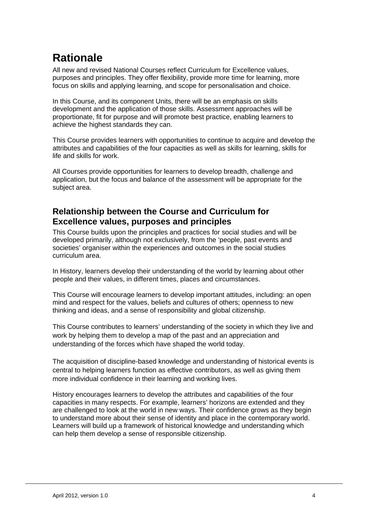## **Rationale**

All new and revised National Courses reflect Curriculum for Excellence values, purposes and principles. They offer flexibility, provide more time for learning, more focus on skills and applying learning, and scope for personalisation and choice.

In this Course, and its component Units, there will be an emphasis on skills development and the application of those skills. Assessment approaches will be proportionate, fit for purpose and will promote best practice, enabling learners to achieve the highest standards they can.

This Course provides learners with opportunities to continue to acquire and develop the attributes and capabilities of the four capacities as well as skills for learning, skills for life and skills for work.

All Courses provide opportunities for learners to develop breadth, challenge and application, but the focus and balance of the assessment will be appropriate for the subject area.

## **Relationship between the Course and Curriculum for Excellence values, purposes and principles**

This Course builds upon the principles and practices for social studies and will be developed primarily, although not exclusively, from the 'people, past events and societies' organiser within the experiences and outcomes in the social studies curriculum area.

In History, learners develop their understanding of the world by learning about other people and their values, in different times, places and circumstances.

This Course will encourage learners to develop important attitudes, including: an open mind and respect for the values, beliefs and cultures of others; openness to new thinking and ideas, and a sense of responsibility and global citizenship.

This Course contributes to learners' understanding of the society in which they live and work by helping them to develop a map of the past and an appreciation and understanding of the forces which have shaped the world today.

The acquisition of discipline-based knowledge and understanding of historical events is central to helping learners function as effective contributors, as well as giving them more individual confidence in their learning and working lives.

History encourages learners to develop the attributes and capabilities of the four capacities in many respects. For example, learners' horizons are extended and they are challenged to look at the world in new ways. Their confidence grows as they begin to understand more about their sense of identity and place in the contemporary world. Learners will build up a framework of historical knowledge and understanding which can help them develop a sense of responsible citizenship.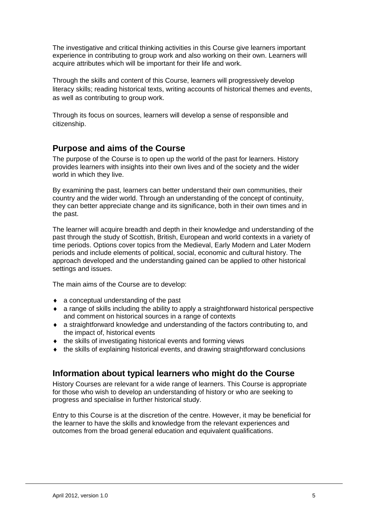The investigative and critical thinking activities in this Course give learners important experience in contributing to group work and also working on their own. Learners will acquire attributes which will be important for their life and work.

Through the skills and content of this Course, learners will progressively develop literacy skills; reading historical texts, writing accounts of historical themes and events, as well as contributing to group work.

Through its focus on sources, learners will develop a sense of responsible and citizenship.

## **Purpose and aims of the Course**

The purpose of the Course is to open up the world of the past for learners. History provides learners with insights into their own lives and of the society and the wider world in which they live.

By examining the past, learners can better understand their own communities, their country and the wider world. Through an understanding of the concept of continuity, they can better appreciate change and its significance, both in their own times and in the past.

The learner will acquire breadth and depth in their knowledge and understanding of the past through the study of Scottish, British, European and world contexts in a variety of time periods. Options cover topics from the Medieval, Early Modern and Later Modern periods and include elements of political, social, economic and cultural history. The approach developed and the understanding gained can be applied to other historical settings and issues.

The main aims of the Course are to develop:

- a conceptual understanding of the past
- a range of skills including the ability to apply a straightforward historical perspective and comment on historical sources in a range of contexts
- a straightforward knowledge and understanding of the factors contributing to, and the impact of, historical events
- the skills of investigating historical events and forming views
- the skills of explaining historical events, and drawing straightforward conclusions

## **Information about typical learners who might do the Course**

History Courses are relevant for a wide range of learners. This Course is appropriate for those who wish to develop an understanding of history or who are seeking to progress and specialise in further historical study.

Entry to this Course is at the discretion of the centre. However, it may be beneficial for the learner to have the skills and knowledge from the relevant experiences and outcomes from the broad general education and equivalent qualifications.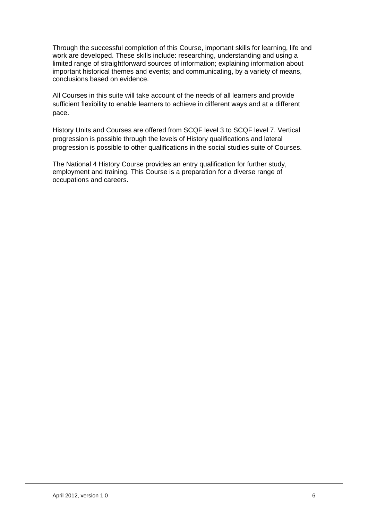Through the successful completion of this Course, important skills for learning, life and work are developed. These skills include: researching, understanding and using a limited range of straightforward sources of information; explaining information about important historical themes and events; and communicating, by a variety of means, conclusions based on evidence.

All Courses in this suite will take account of the needs of all learners and provide sufficient flexibility to enable learners to achieve in different ways and at a different pace.

History Units and Courses are offered from SCQF level 3 to SCQF level 7. Vertical progression is possible through the levels of History qualifications and lateral progression is possible to other qualifications in the social studies suite of Courses.

The National 4 History Course provides an entry qualification for further study, employment and training. This Course is a preparation for a diverse range of occupations and careers.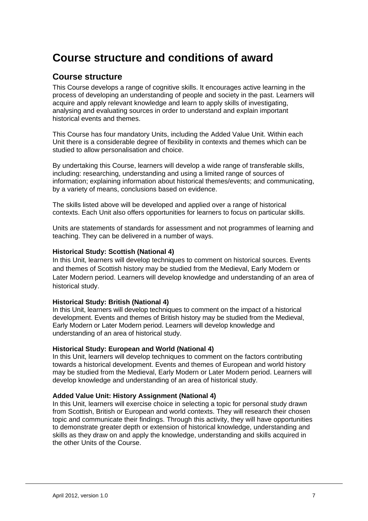## **Course structure and conditions of award**

### **Course structure**

This Course develops a range of cognitive skills. It encourages active learning in the process of developing an understanding of people and society in the past. Learners will acquire and apply relevant knowledge and learn to apply skills of investigating, analysing and evaluating sources in order to understand and explain important historical events and themes.

This Course has four mandatory Units, including the Added Value Unit. Within each Unit there is a considerable degree of flexibility in contexts and themes which can be studied to allow personalisation and choice.

By undertaking this Course, learners will develop a wide range of transferable skills, including: researching, understanding and using a limited range of sources of information; explaining information about historical themes/events; and communicating, by a variety of means, conclusions based on evidence.

The skills listed above will be developed and applied over a range of historical contexts. Each Unit also offers opportunities for learners to focus on particular skills.

Units are statements of standards for assessment and not programmes of learning and teaching. They can be delivered in a number of ways.

#### **Historical Study: Scottish (National 4)**

In this Unit, learners will develop techniques to comment on historical sources. Events and themes of Scottish history may be studied from the Medieval, Early Modern or Later Modern period. Learners will develop knowledge and understanding of an area of historical study.

#### **Historical Study: British (National 4)**

In this Unit, learners will develop techniques to comment on the impact of a historical development. Events and themes of British history may be studied from the Medieval, Early Modern or Later Modern period. Learners will develop knowledge and understanding of an area of historical study.

#### **Historical Study: European and World (National 4)**

In this Unit, learners will develop techniques to comment on the factors contributing towards a historical development. Events and themes of European and world history may be studied from the Medieval, Early Modern or Later Modern period. Learners will develop knowledge and understanding of an area of historical study.

#### **Added Value Unit: History Assignment (National 4)**

In this Unit, learners will exercise choice in selecting a topic for personal study drawn from Scottish, British or European and world contexts. They will research their chosen topic and communicate their findings. Through this activity, they will have opportunities to demonstrate greater depth or extension of historical knowledge, understanding and skills as they draw on and apply the knowledge, understanding and skills acquired in the other Units of the Course.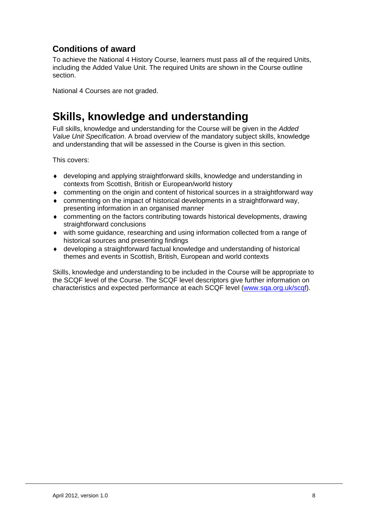## **Conditions of award**

To achieve the National 4 History Course, learners must pass all of the required Units, including the Added Value Unit. The required Units are shown in the Course outline section.

National 4 Courses are not graded.

## **Skills, knowledge and understanding**

Full skills, knowledge and understanding for the Course will be given in the *Added Value Unit Specification*. A broad overview of the mandatory subject skills, knowledge and understanding that will be assessed in the Course is given in this section.

This covers:

- developing and applying straightforward skills, knowledge and understanding in contexts from Scottish, British or European/world history
- commenting on the origin and content of historical sources in a straightforward way
- commenting on the impact of historical developments in a straightforward way, presenting information in an organised manner
- commenting on the factors contributing towards historical developments, drawing straightforward conclusions
- with some guidance, researching and using information collected from a range of historical sources and presenting findings
- developing a straightforward factual knowledge and understanding of historical themes and events in Scottish, British, European and world contexts

Skills, knowledge and understanding to be included in the Course will be appropriate to the SCQF level of the Course. The SCQF level descriptors give further information on characteristics and expected performance at each SCQF level (www.sqa.org.uk/scqf).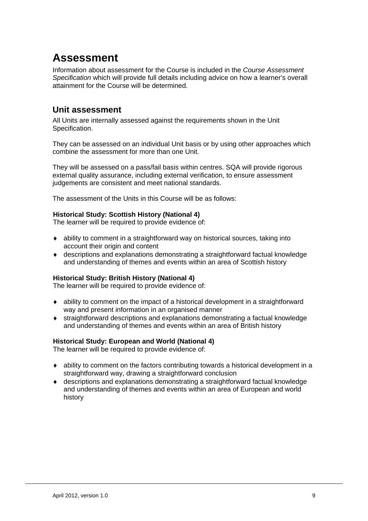## **Assessment**

Information about assessment for the Course is included in the *Course Assessment Specification* which will provide full details including advice on how a learner's overall attainment for the Course will be determined.

### **Unit assessment**

All Units are internally assessed against the requirements shown in the Unit Specification.

They can be assessed on an individual Unit basis or by using other approaches which combine the assessment for more than one Unit.

They will be assessed on a pass/fail basis within centres. SQA will provide rigorous external quality assurance, including external verification, to ensure assessment judgements are consistent and meet national standards.

The assessment of the Units in this Course will be as follows:

#### **Historical Study: Scottish History (National 4)**

The learner will be required to provide evidence of:

- ability to comment in a straightforward way on historical sources, taking into account their origin and content
- descriptions and explanations demonstrating a straightforward factual knowledge and understanding of themes and events within an area of Scottish history

#### **Historical Study: British History (National 4)**

The learner will be required to provide evidence of:

- ability to comment on the impact of a historical development in a straightforward way and present information in an organised manner
- straightforward descriptions and explanations demonstrating a factual knowledge and understanding of themes and events within an area of British history

#### **Historical Study: European and World (National 4)**

The learner will be required to provide evidence of:

- ability to comment on the factors contributing towards a historical development in a straightforward way, drawing a straightforward conclusion
- descriptions and explanations demonstrating a straightforward factual knowledge and understanding of themes and events within an area of European and world history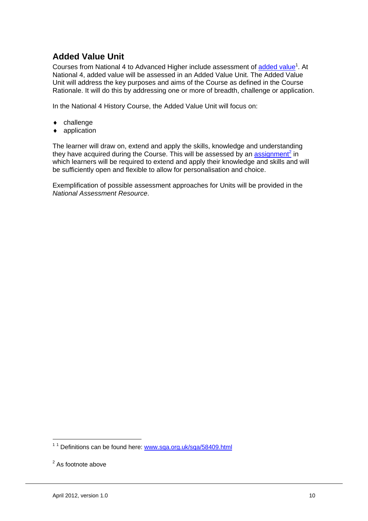## **Added Value Unit**

Courses from National 4 to Advanced Higher include assessment of added value<sup>1</sup>. At National 4, added value will be assessed in an Added Value Unit. The Added Value Unit will address the key purposes and aims of the Course as defined in the Course Rationale. It will do this by addressing one or more of breadth, challenge or application.

In the National 4 History Course, the Added Value Unit will focus on:

- ◆ challenge
- application

The learner will draw on, extend and apply the skills, knowledge and understanding they have acquired during the Course. This will be assessed by an assignment<sup>2</sup> in which learners will be required to extend and apply their knowledge and skills and will be sufficiently open and flexible to allow for personalisation and choice.

Exemplification of possible assessment approaches for Units will be provided in the *National Assessment Resource*.

1

<sup>&</sup>lt;sup>1 1</sup> Definitions can be found here: www.sqa.org.uk/sqa/58409.html

<sup>&</sup>lt;sup>2</sup> As footnote above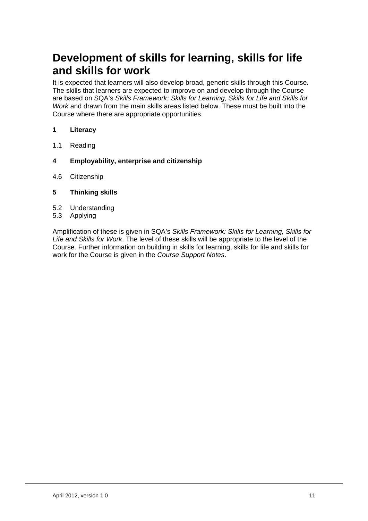## **Development of skills for learning, skills for life and skills for work**

It is expected that learners will also develop broad, generic skills through this Course. The skills that learners are expected to improve on and develop through the Course are based on SQA's *Skills Framework: Skills for Learning, Skills for Life and Skills for Work* and drawn from the main skills areas listed below. These must be built into the Course where there are appropriate opportunities.

- **1 Literacy**
- 1.1 Reading
- **4 Employability, enterprise and citizenship**
- 4.6 Citizenship
- **5 Thinking skills**
- 5.2 Understanding
- 5.3 Applying

Amplification of these is given in SQA's *Skills Framework: Skills for Learning, Skills for Life and Skills for Work*. The level of these skills will be appropriate to the level of the Course. Further information on building in skills for learning, skills for life and skills for work for the Course is given in the *Course Support Notes*.